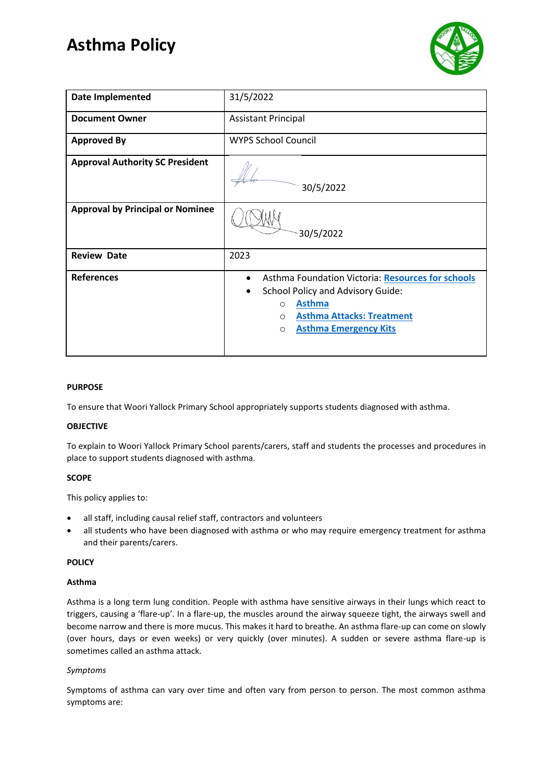# **Asthma Policy**



| <b>Date Implemented</b>                 | 31/5/2022                                                                                                                                                                                                                              |  |  |  |  |
|-----------------------------------------|----------------------------------------------------------------------------------------------------------------------------------------------------------------------------------------------------------------------------------------|--|--|--|--|
| <b>Document Owner</b>                   | <b>Assistant Principal</b>                                                                                                                                                                                                             |  |  |  |  |
| <b>Approved By</b>                      | <b>WYPS School Council</b>                                                                                                                                                                                                             |  |  |  |  |
| <b>Approval Authority SC President</b>  | 30/5/2022                                                                                                                                                                                                                              |  |  |  |  |
| <b>Approval by Principal or Nominee</b> | 30/5/2022                                                                                                                                                                                                                              |  |  |  |  |
| <b>Review Date</b>                      | 2023                                                                                                                                                                                                                                   |  |  |  |  |
| <b>References</b>                       | Asthma Foundation Victoria: Resources for schools<br>$\bullet$<br>School Policy and Advisory Guide:<br>$\bullet$<br><b>Asthma</b><br>$\circ$<br><b>Asthma Attacks: Treatment</b><br>$\circ$<br><b>Asthma Emergency Kits</b><br>$\circ$ |  |  |  |  |

## **PURPOSE**

To ensure that Woori Yallock Primary School appropriately supports students diagnosed with asthma.

#### **OBJECTIVE**

To explain to Woori Yallock Primary School parents/carers, staff and students the processes and procedures in place to support students diagnosed with asthma.

# **SCOPE**

This policy applies to:

- all staff, including causal relief staff, contractors and volunteers
- all students who have been diagnosed with asthma or who may require emergency treatment for asthma and their parents/carers.

#### **POLICY**

#### **Asthma**

Asthma is a long term lung condition. People with asthma have sensitive airways in their lungs which react to triggers, causing a 'flare-up'. In a flare-up, the muscles around the airway squeeze tight, the airways swell and become narrow and there is more mucus. This makes it hard to breathe. An asthma flare-up can come on slowly (over hours, days or even weeks) or very quickly (over minutes). A sudden or severe asthma flare-up is sometimes called an asthma attack.

#### *Symptoms*

Symptoms of asthma can vary over time and often vary from person to person. The most common asthma symptoms are: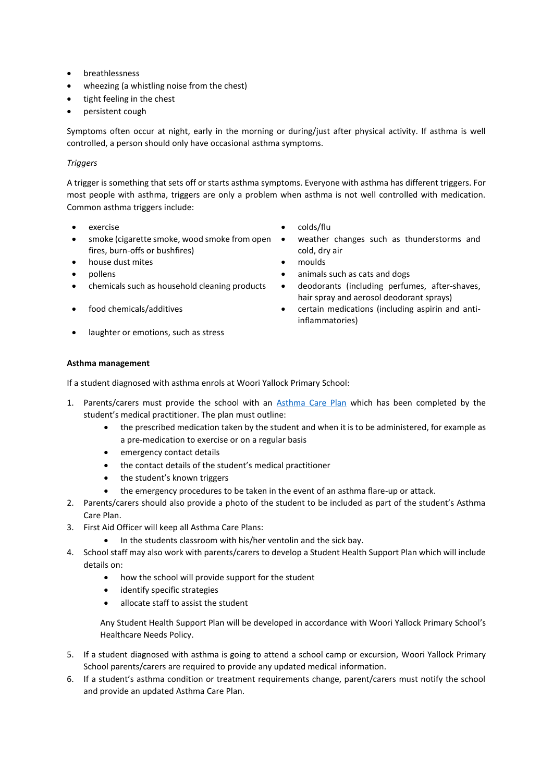- breathlessness
- wheezing (a whistling noise from the chest)
- tight feeling in the chest
- persistent cough

Symptoms often occur at night, early in the morning or during/just after physical activity. If asthma is well controlled, a person should only have occasional asthma symptoms.

# *Triggers*

A trigger is something that sets off or starts asthma symptoms. Everyone with asthma has different triggers. For most people with asthma, triggers are only a problem when asthma is not well controlled with medication. Common asthma triggers include:

- 
- smoke (cigarette smoke, wood smoke from open fires, burn-offs or bushfires)
- house dust mites moulds
- 
- 
- 
- exercise **•** colds/flu
	- weather changes such as thunderstorms and cold, dry air
	-
- pollens animals such as cats and dogs
- chemicals such as household cleaning products deodorants (including perfumes, after-shaves, hair spray and aerosol deodorant sprays)
	- food chemicals/additives certain medications (including aspirin and antiinflammatories)
- laughter or emotions, such as stress

### **Asthma management**

If a student diagnosed with asthma enrols at Woori Yallock Primary School:

- 1. Parents/carers must provide the school with an [Asthma Care](http://www.education.vic.gov.au/school/principals/spag/health/Documents/AsthmaCarePlan.pdf) Plan which has been completed by the student's medical practitioner. The plan must outline:
	- the prescribed medication taken by the student and when it is to be administered, for example as a pre-medication to exercise or on a regular basis
	- emergency contact details
	- the contact details of the student's medical practitioner
	- the student's known triggers
	- the emergency procedures to be taken in the event of an asthma flare-up or attack.
- 2. Parents/carers should also provide a photo of the student to be included as part of the student's Asthma Care Plan.
- 3. First Aid Officer will keep all Asthma Care Plans:
	- In the students classroom with his/her ventolin and the sick bay.
- 4. School staff may also work with parents/carers to develop a Student Health Support Plan which will include details on:
	- how the school will provide support for the student
	- identify specific strategies
	- allocate staff to assist the student

Any Student Health Support Plan will be developed in accordance with Woori Yallock Primary School's Healthcare Needs Policy.

- 5. If a student diagnosed with asthma is going to attend a school camp or excursion, Woori Yallock Primary School parents/carers are required to provide any updated medical information.
- 6. If a student's asthma condition or treatment requirements change, parent/carers must notify the school and provide an updated Asthma Care Plan.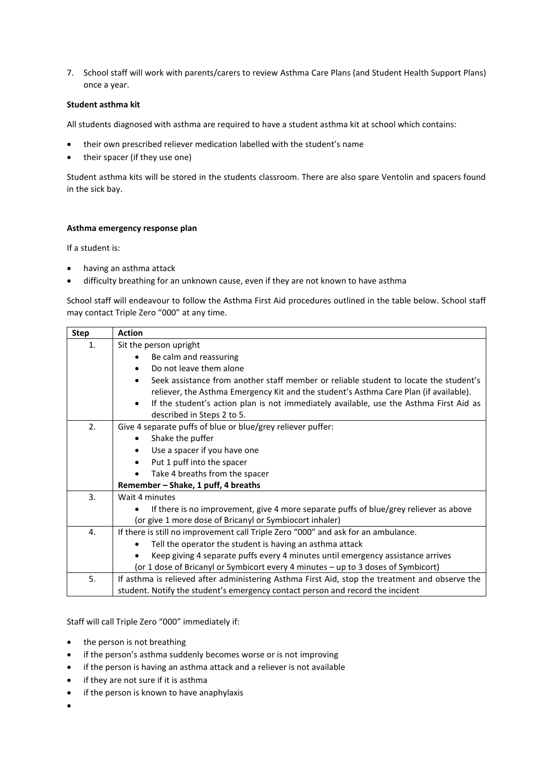7. School staff will work with parents/carers to review Asthma Care Plans (and Student Health Support Plans) once a year.

# **Student asthma kit**

All students diagnosed with asthma are required to have a student asthma kit at school which contains:

- their own prescribed reliever medication labelled with the student's name
- their spacer (if they use one)

Student asthma kits will be stored in the students classroom. There are also spare Ventolin and spacers found in the sick bay.

## **Asthma emergency response plan**

If a student is:

- having an asthma attack
- difficulty breathing for an unknown cause, even if they are not known to have asthma

School staff will endeavour to follow the Asthma First Aid procedures outlined in the table below. School staff may contact Triple Zero "000" at any time.

| <b>Step</b> | <b>Action</b>                                                                                       |  |  |  |  |  |
|-------------|-----------------------------------------------------------------------------------------------------|--|--|--|--|--|
| 1.          | Sit the person upright                                                                              |  |  |  |  |  |
|             | Be calm and reassuring<br>٠                                                                         |  |  |  |  |  |
|             | Do not leave them alone                                                                             |  |  |  |  |  |
|             | Seek assistance from another staff member or reliable student to locate the student's<br>$\bullet$  |  |  |  |  |  |
|             | reliever, the Asthma Emergency Kit and the student's Asthma Care Plan (if available).               |  |  |  |  |  |
|             | If the student's action plan is not immediately available, use the Asthma First Aid as<br>$\bullet$ |  |  |  |  |  |
|             | described in Steps 2 to 5.                                                                          |  |  |  |  |  |
| 2.          | Give 4 separate puffs of blue or blue/grey reliever puffer:                                         |  |  |  |  |  |
|             | Shake the puffer<br>٠                                                                               |  |  |  |  |  |
|             | Use a spacer if you have one<br>٠                                                                   |  |  |  |  |  |
|             | Put 1 puff into the spacer<br>$\bullet$                                                             |  |  |  |  |  |
|             | Take 4 breaths from the spacer<br>$\bullet$                                                         |  |  |  |  |  |
|             | Remember – Shake, 1 puff, 4 breaths                                                                 |  |  |  |  |  |
| 3.          | Wait 4 minutes                                                                                      |  |  |  |  |  |
|             | If there is no improvement, give 4 more separate puffs of blue/grey reliever as above               |  |  |  |  |  |
|             | (or give 1 more dose of Bricanyl or Symbiocort inhaler)                                             |  |  |  |  |  |
| 4.          | If there is still no improvement call Triple Zero "000" and ask for an ambulance.                   |  |  |  |  |  |
|             | Tell the operator the student is having an asthma attack                                            |  |  |  |  |  |
|             | Keep giving 4 separate puffs every 4 minutes until emergency assistance arrives                     |  |  |  |  |  |
|             | (or 1 dose of Bricanyl or Symbicort every 4 minutes - up to 3 doses of Symbicort)                   |  |  |  |  |  |
| 5.          | If asthma is relieved after administering Asthma First Aid, stop the treatment and observe the      |  |  |  |  |  |
|             | student. Notify the student's emergency contact person and record the incident                      |  |  |  |  |  |

Staff will call Triple Zero "000" immediately if:

- the person is not breathing
- if the person's asthma suddenly becomes worse or is not improving
- if the person is having an asthma attack and a reliever is not available
- if they are not sure if it is asthma
- if the person is known to have anaphylaxis
- •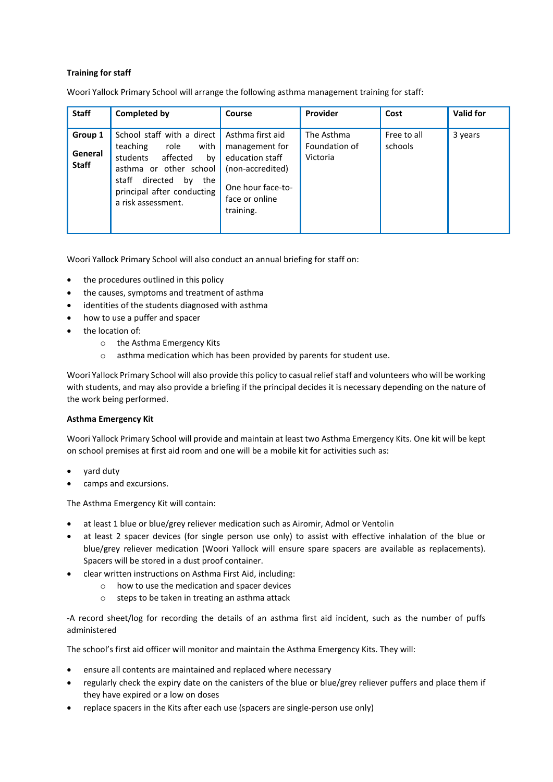# **Training for staff**

Woori Yallock Primary School will arrange the following asthma management training for staff:

| <b>Staff</b>                       | Completed by                                                                                                                                                                                         | <b>Course</b>                                                                                                                 | Provider                                | Cost                   | <b>Valid for</b> |
|------------------------------------|------------------------------------------------------------------------------------------------------------------------------------------------------------------------------------------------------|-------------------------------------------------------------------------------------------------------------------------------|-----------------------------------------|------------------------|------------------|
| Group 1<br>General<br><b>Staff</b> | School staff with a direct<br>with<br>teaching<br>role<br>affected<br>students<br>bv<br>asthma or other school<br>directed<br>staff<br>the<br>bv<br>principal after conducting<br>a risk assessment. | Asthma first aid<br>management for<br>education staff<br>(non-accredited)<br>One hour face-to-<br>face or online<br>training. | The Asthma<br>Foundation of<br>Victoria | Free to all<br>schools | 3 years          |

Woori Yallock Primary School will also conduct an annual briefing for staff on:

- the procedures outlined in this policy
- the causes, symptoms and treatment of asthma
- identities of the students diagnosed with asthma
- how to use a puffer and spacer
- the location of:
	- o the Asthma Emergency Kits
	- o asthma medication which has been provided by parents for student use.

Woori Yallock Primary School will also provide this policy to casual relief staff and volunteers who will be working with students, and may also provide a briefing if the principal decides it is necessary depending on the nature of the work being performed.

# **Asthma Emergency Kit**

Woori Yallock Primary School will provide and maintain at least two Asthma Emergency Kits. One kit will be kept on school premises at first aid room and one will be a mobile kit for activities such as:

- yard duty
- camps and excursions.

The Asthma Emergency Kit will contain:

- at least 1 blue or blue/grey reliever medication such as Airomir, Admol or Ventolin
- at least 2 spacer devices (for single person use only) to assist with effective inhalation of the blue or blue/grey reliever medication (Woori Yallock will ensure spare spacers are available as replacements). Spacers will be stored in a dust proof container.
- clear written instructions on Asthma First Aid, including:
	- o how to use the medication and spacer devices
	- o steps to be taken in treating an asthma attack

-A record sheet/log for recording the details of an asthma first aid incident, such as the number of puffs administered

The school's first aid officer will monitor and maintain the Asthma Emergency Kits. They will:

- ensure all contents are maintained and replaced where necessary
- regularly check the expiry date on the canisters of the blue or blue/grey reliever puffers and place them if they have expired or a low on doses
- replace spacers in the Kits after each use (spacers are single-person use only)